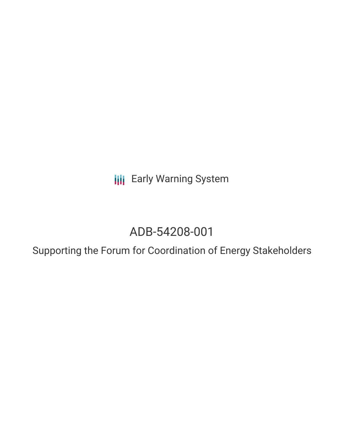**III** Early Warning System

# ADB-54208-001

Supporting the Forum for Coordination of Energy Stakeholders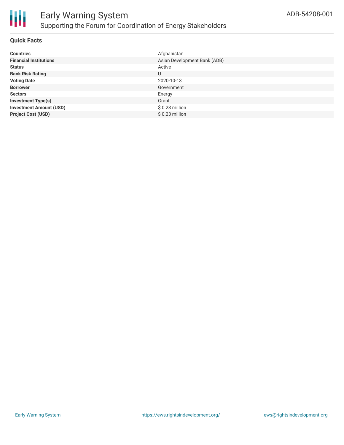

# **Quick Facts**

| <b>Countries</b>               | Afghanistan                  |
|--------------------------------|------------------------------|
| <b>Financial Institutions</b>  | Asian Development Bank (ADB) |
| <b>Status</b>                  | Active                       |
| <b>Bank Risk Rating</b>        | U                            |
| <b>Voting Date</b>             | 2020-10-13                   |
| <b>Borrower</b>                | Government                   |
| <b>Sectors</b>                 | Energy                       |
| <b>Investment Type(s)</b>      | Grant                        |
| <b>Investment Amount (USD)</b> | $$0.23$ million              |
| <b>Project Cost (USD)</b>      | $$0.23$ million              |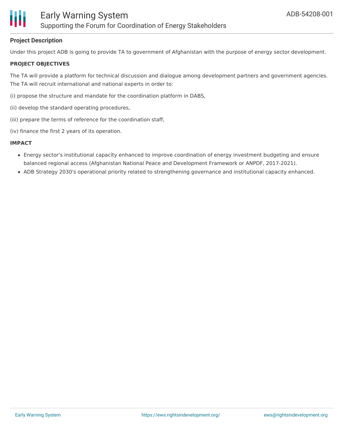

### **Project Description**

Under this project ADB is going to provide TA to government of Afghanistan with the purpose of energy sector development.

#### **PROJECT OBJECTIVES**

The TA will provide a platform for technical discussion and dialogue among development partners and government agencies. The TA will recruit international and national experts in order to:

- (i) propose the structure and mandate for the coordination platform in DABS,
- (ii) develop the standard operating procedures,
- (iii) prepare the terms of reference for the coordination staff,
- (iv) finance the first 2 years of its operation.

#### **IMPACT**

- Energy sector's institutional capacity enhanced to improve coordination of energy investment budgeting and ensure balanced regional access (Afghanistan National Peace and Development Framework or ANPDF, 2017-2021).
- ADB Strategy 2030's operational priority related to strengthening governance and institutional capacity enhanced.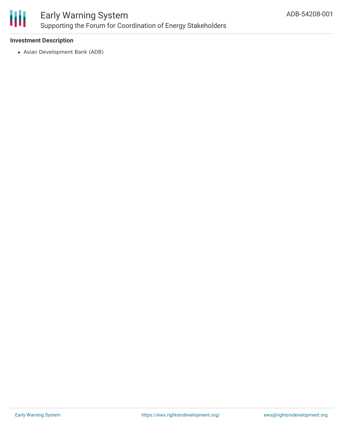

# Early Warning System Supporting the Forum for Coordination of Energy Stakeholders

### **Investment Description**

Asian Development Bank (ADB)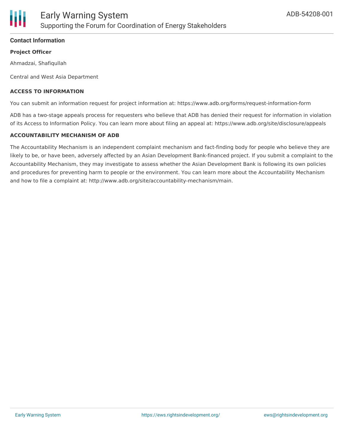

## **Contact Information**

#### **Project Officer**

Ahmadzai, Shafiqullah

Central and West Asia Department

#### **ACCESS TO INFORMATION**

You can submit an information request for project information at: https://www.adb.org/forms/request-information-form

ADB has a two-stage appeals process for requesters who believe that ADB has denied their request for information in violation of its Access to Information Policy. You can learn more about filing an appeal at: https://www.adb.org/site/disclosure/appeals

#### **ACCOUNTABILITY MECHANISM OF ADB**

The Accountability Mechanism is an independent complaint mechanism and fact-finding body for people who believe they are likely to be, or have been, adversely affected by an Asian Development Bank-financed project. If you submit a complaint to the Accountability Mechanism, they may investigate to assess whether the Asian Development Bank is following its own policies and procedures for preventing harm to people or the environment. You can learn more about the Accountability Mechanism and how to file a complaint at: http://www.adb.org/site/accountability-mechanism/main.